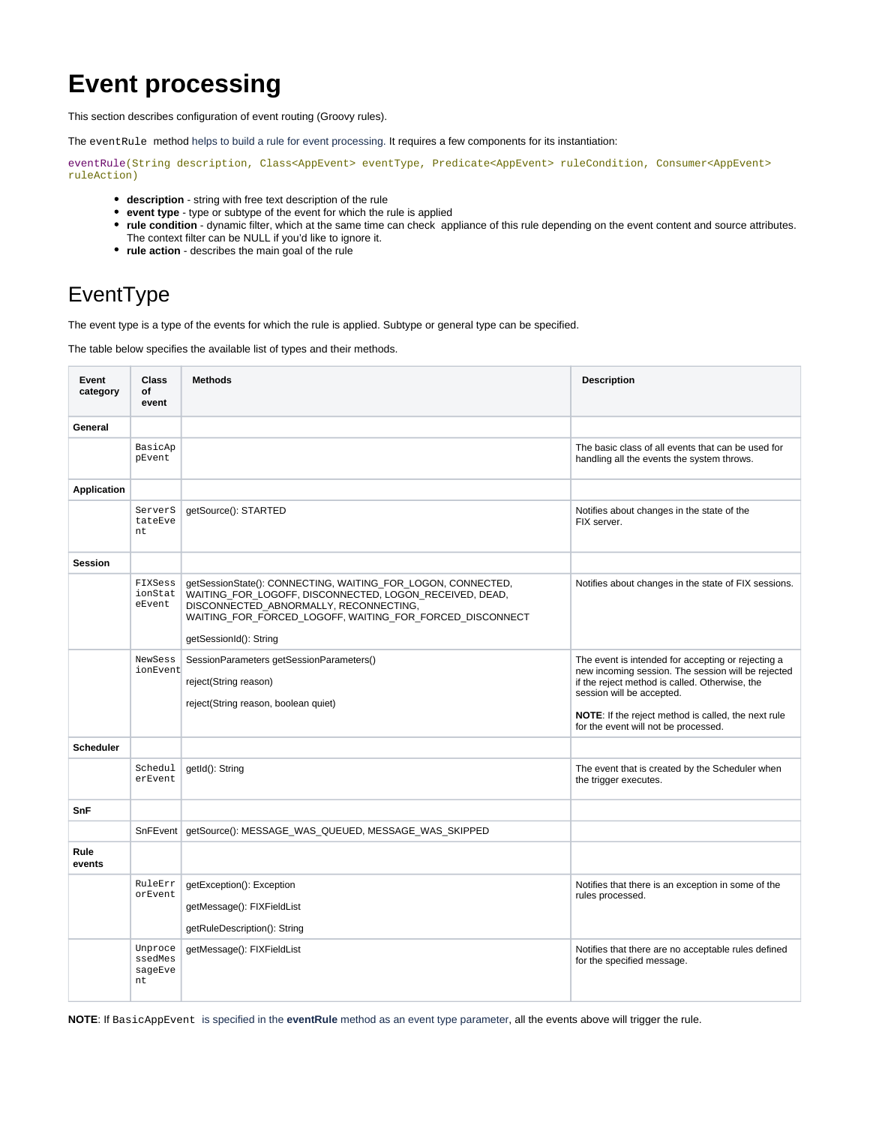## **Event processing**

This section describes configuration of event routing (Groovy rules).

The eventRule method helps to build a rule for event processing. It requires a few components for its instantiation:

eventRule(String description, Class<AppEvent> eventType, Predicate<AppEvent> ruleCondition, Consumer<AppEvent> ruleAction)

- **description** string with free text description of the rule
- **event type** type or subtype of the event for which the rule is applied
- **rule condition** dynamic filter, which at the same time can check appliance of this rule depending on the event content and source attributes.
- The context filter can be NULL if you'd like to ignore it.
- **rule action** describes the main goal of the rule

## EventType

The event type is a type of the events for which the rule is applied. Subtype or general type can be specified.

The table below specifies the available list of types and their methods.

| Event<br>category  | <b>Class</b><br>of<br>event         | <b>Methods</b>                                                                                                                                                                                                                                          | <b>Description</b>                                                                                                                                                                                                                                                                     |
|--------------------|-------------------------------------|---------------------------------------------------------------------------------------------------------------------------------------------------------------------------------------------------------------------------------------------------------|----------------------------------------------------------------------------------------------------------------------------------------------------------------------------------------------------------------------------------------------------------------------------------------|
| General            |                                     |                                                                                                                                                                                                                                                         |                                                                                                                                                                                                                                                                                        |
|                    | BasicAp<br>pEvent                   |                                                                                                                                                                                                                                                         | The basic class of all events that can be used for<br>handling all the events the system throws.                                                                                                                                                                                       |
| <b>Application</b> |                                     |                                                                                                                                                                                                                                                         |                                                                                                                                                                                                                                                                                        |
|                    | ServerS<br>tateEve<br>nt            | getSource(): STARTED                                                                                                                                                                                                                                    | Notifies about changes in the state of the<br>FIX server.                                                                                                                                                                                                                              |
| <b>Session</b>     |                                     |                                                                                                                                                                                                                                                         |                                                                                                                                                                                                                                                                                        |
|                    | FIXSess<br>ionStat<br>eEvent        | getSessionState(): CONNECTING, WAITING_FOR_LOGON, CONNECTED,<br>WAITING_FOR_LOGOFF, DISCONNECTED, LOGON_RECEIVED, DEAD,<br>DISCONNECTED_ABNORMALLY, RECONNECTING,<br>WAITING_FOR_FORCED_LOGOFF, WAITING_FOR_FORCED_DISCONNECT<br>getSessionId(): String | Notifies about changes in the state of FIX sessions.                                                                                                                                                                                                                                   |
|                    | NewSess<br>ionEvent                 | SessionParameters getSessionParameters()<br>reject(String reason)<br>reject(String reason, boolean quiet)                                                                                                                                               | The event is intended for accepting or rejecting a<br>new incoming session. The session will be rejected<br>if the reject method is called. Otherwise, the<br>session will be accepted.<br>NOTE: If the reject method is called, the next rule<br>for the event will not be processed. |
| <b>Scheduler</b>   |                                     |                                                                                                                                                                                                                                                         |                                                                                                                                                                                                                                                                                        |
|                    | Schedul<br>erEvent                  | getId(): String                                                                                                                                                                                                                                         | The event that is created by the Scheduler when<br>the trigger executes.                                                                                                                                                                                                               |
| SnF                |                                     |                                                                                                                                                                                                                                                         |                                                                                                                                                                                                                                                                                        |
|                    | SnFEvent                            | getSource(): MESSAGE_WAS_QUEUED, MESSAGE_WAS_SKIPPED                                                                                                                                                                                                    |                                                                                                                                                                                                                                                                                        |
| Rule<br>events     |                                     |                                                                                                                                                                                                                                                         |                                                                                                                                                                                                                                                                                        |
|                    | RuleErr<br>orEvent                  | getException(): Exception<br>getMessage(): FIXFieldList<br>getRuleDescription(): String                                                                                                                                                                 | Notifies that there is an exception in some of the<br>rules processed.                                                                                                                                                                                                                 |
|                    | Unproce<br>ssedMes<br>sageEve<br>nt | getMessage(): FIXFieldList                                                                                                                                                                                                                              | Notifies that there are no acceptable rules defined<br>for the specified message.                                                                                                                                                                                                      |

**NOTE**: If BasicAppEvent is specified in the **eventRule** method as an event type parameter, all the events above will trigger the rule.